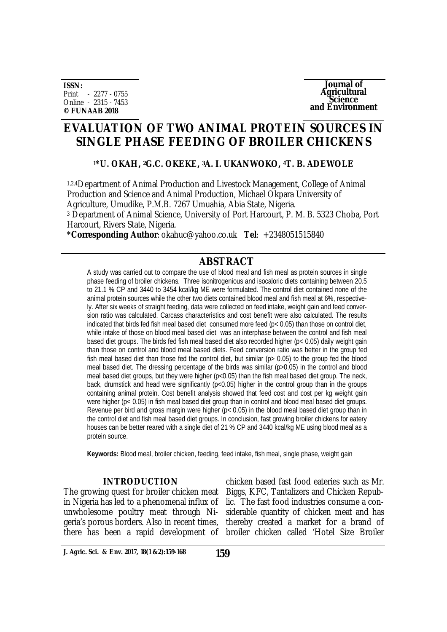**ISSN:** Print - 2277 - 0755 Online - 2315 - 7453 **© FUNAAB 2018**



# **EVALUATION OF TWO ANIMAL PROTEIN SOURCES IN SINGLE PHASE FEEDING OF BROILER CHICKENS**

## **<sup>1</sup>\*U. OKAH, 2G.C. OKEKE, 3A. I. UKANWOKO, 4T. B. ADEWOLE**

1,2,4Department of Animal Production and Livestock Management, College of Animal Production and Science and Animal Production, Michael Okpara University of Agriculture, Umudike, P.M.B. 7267 Umuahia, Abia State, Nigeria.

<sup>3</sup> Department of Animal Science, University of Port Harcourt, P. M. B. 5323 Choba, Port Harcourt, Rivers State, Nigeria.

**\*Corresponding Author**: [okahuc@yahoo.co.uk](mailto:okahuc@yahoo.co.uk) **Tel**: +2348051515840

## **ABSTRACT**

A study was carried out to compare the use of blood meal and fish meal as protein sources in single phase feeding of broiler chickens. Three isonitrogenious and isocaloric diets containing between 20.5 to 21.1 % CP and 3440 to 3454 kcal/kg ME were formulated. The control diet contained none of the animal protein sources while the other two diets contained blood meal and fish meal at 6%, respectively. After six weeks of straight feeding, data were collected on feed intake, weight gain and feed conversion ratio was calculated. Carcass characteristics and cost benefit were also calculated. The results indicated that birds fed fish meal based diet consumed more feed ( $p < 0.05$ ) than those on control diet, while intake of those on blood meal based diet was an interphase between the control and fish meal based diet groups. The birds fed fish meal based diet also recorded higher (p< 0.05) daily weight gain than those on control and blood meal based diets. Feed conversion ratio was better in the group fed fish meal based diet than those fed the control diet, but similar (p> 0.05) to the group fed the blood meal based diet. The dressing percentage of the birds was similar (p>0.05) in the control and blood meal based diet groups, but they were higher (p<0.05) than the fish meal based diet group. The neck, back, drumstick and head were significantly (p<0.05) higher in the control group than in the groups containing animal protein. Cost benefit analysis showed that feed cost and cost per kg weight gain were higher (p< 0.05) in fish meal based diet group than in control and blood meal based diet groups. Revenue per bird and gross margin were higher (p< 0.05) in the blood meal based diet group than in the control diet and fish meal based diet groups. In conclusion, fast growing broiler chickens for eatery houses can be better reared with a single diet of 21 % CP and 3440 kcal/kg ME using blood meal as a protein source.

**Keywords:** Blood meal, broiler chicken, feeding, feed intake, fish meal, single phase, weight gain

#### **INTRODUCTION**

The growing quest for broiler chicken meat in Nigeria has led to a phenomenal influx of unwholesome poultry meat through Nigeria's porous borders. Also in recent times, there has been a rapid development of

chicken based fast food eateries such as Mr. Biggs, KFC, Tantalizers and Chicken Republic. The fast food industries consume a considerable quantity of chicken meat and has thereby created a market for a brand of broiler chicken called 'Hotel Size Broiler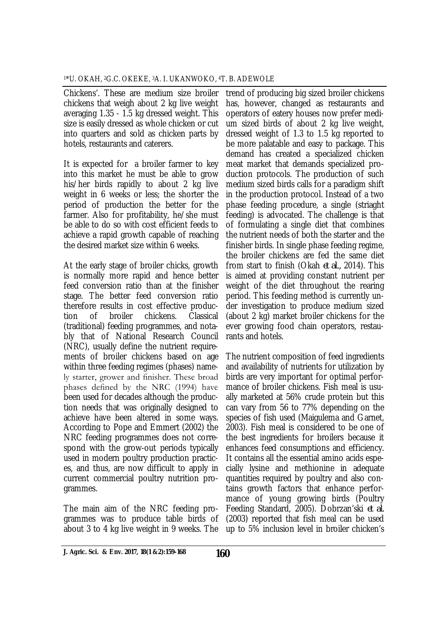Chickens'. These are medium size broiler chickens that weigh about 2 kg live weight averaging 1.35 - 1.5 kg dressed weight. This size is easily dressed as whole chicken or cut into quarters and sold as chicken parts by hotels, restaurants and caterers.

It is expected for a broiler farmer to key into this market he must be able to grow his/her birds rapidly to about 2 kg live weight in 6 weeks or less; the shorter the period of production the better for the farmer. Also for profitability, he/she must be able to do so with cost efficient feeds to achieve a rapid growth capable of reaching the desired market size within 6 weeks.

At the early stage of broiler chicks, growth is normally more rapid and hence better feed conversion ratio than at the finisher stage. The better feed conversion ratio therefore results in cost effective production of broiler chickens. Classical (traditional) feeding programmes, and notably that of National Research Council (NRC), usually define the nutrient requirements of broiler chickens based on age within three feeding regimes (phases) namely starter, grower and finisher. These broad phases defined by the NRC (1994) have been used for decades although the production needs that was originally designed to achieve have been altered in some ways. According to Pope and Emmert (2002) the NRC feeding programmes does not correspond with the grow-out periods typically used in modern poultry production practices, and thus, are now difficult to apply in current commercial poultry nutrition programmes.

The main aim of the NRC feeding programmes was to produce table birds of about 3 to 4 kg live weight in 9 weeks. The

trend of producing big sized broiler chickens has, however, changed as restaurants and operators of eatery houses now prefer medium sized birds of about 2 kg live weight, dressed weight of 1.3 to 1.5 kg reported to be more palatable and easy to package. This demand has created a specialized chicken meat market that demands specialized production protocols. The production of such medium sized birds calls for a paradigm shift in the production protocol. Instead of a two phase feeding procedure, a single (striaght feeding) is advocated. The challenge is that of formulating a single diet that combines the nutrient needs of both the starter and the finisher birds. In single phase feeding regime, the broiler chickens are fed the same diet from start to finish (Okah *et al.,* 2014). This is aimed at providing constant nutrient per weight of the diet throughout the rearing period. This feeding method is currently under investigation to produce medium sized (about 2 kg) market broiler chickens for the ever growing food chain operators, restaurants and hotels.

The nutrient composition of feed ingredients and availability of nutrients for utilization by birds are very important for optimal performance of broiler chickens. Fish meal is usually marketed at 56% crude protein but this can vary from 56 to 77% depending on the species of fish used (Maigulema and Garnet, 2003). Fish meal is considered to be one of the best ingredients for broilers because it enhances feed consumptions and efficiency. It contains all the essential amino acids especially lysine and methionine in adequate quantities required by poultry and also contains growth factors that enhance performance of young growing birds (Poultry Feeding Standard, 2005). Dobrzan'ski *et al.*  (2003) reported that fish meal can be used up to 5% inclusion level in broiler chicken's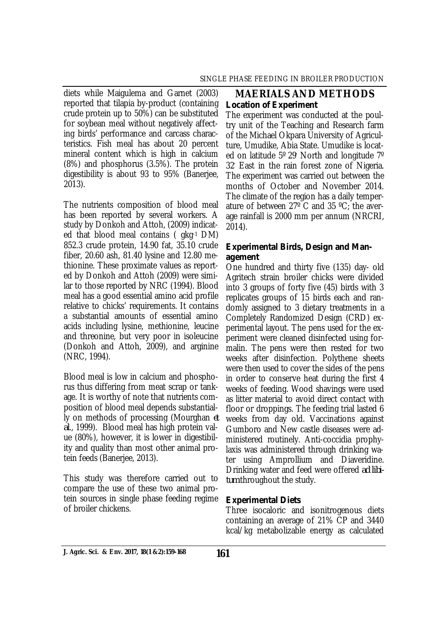diets while Maigulema and Garnet (2003) reported that tilapia by-product (containing crude protein up to 50%) can be substituted for soybean meal without negatively affecting birds' performance and carcass characteristics. Fish meal has about 20 percent mineral content which is high in calcium (8%) and phosphorus (3.5%). The protein digestibility is about 93 to 95% (Banerjee, 2013).

The nutrients composition of blood meal has been reported by several workers. A study by Donkoh and Attoh, (2009) indicated that blood meal contains ( gkg-1 DM) 852.3 crude protein, 14.90 fat, 35.10 crude fiber, 20.60 ash, 81.40 lysine and 12.80 methionine. These proximate values as reported by Donkoh and Attoh (2009) were similar to those reported by NRC (1994). Blood meal has a good essential amino acid profile relative to chicks' requirements. It contains a substantial amounts of essential amino acids including lysine, methionine, leucine and threonine, but very poor in isoleucine (Donkoh and Attoh, 2009), and arginine (NRC, 1994).

Blood meal is low in calcium and phosphorus thus differing from meat scrap or tankage. It is worthy of note that nutrients composition of blood meal depends substantially on methods of processing (Mourghan *et al*., 1999). Blood meal has high protein value (80%), however, it is lower in digestibility and quality than most other animal protein feeds (Banerjee, 2013).

This study was therefore carried out to compare the use of these two animal protein sources in single phase feeding regime of broiler chickens.

## **MAERIALS AND METHODS** *Location of Experiment*

The experiment was conducted at the poultry unit of the Teaching and Research farm of the Michael Okpara University of Agriculture, Umudike, Abia State. Umudike is located on latitude 5º 29′ North and longitude 7º 32′ East in the rain forest zone of Nigeria. The experiment was carried out between the months of October and November 2014. The climate of the region has a daily temperature of between 27º C and 35 ºC; the average rainfall is 2000 mm per annum (NRCRI, 2014).

## *Experimental Birds, Design and Management*

One hundred and thirty five (135) day- old Agritech strain broiler chicks were divided into 3 groups of forty five (45) birds with 3 replicates groups of 15 birds each and randomly assigned to 3 dietary treatments in a Completely Randomized Design (CRD) experimental layout. The pens used for the experiment were cleaned disinfected using formalin. The pens were then rested for two weeks after disinfection. Polythene sheets were then used to cover the sides of the pens in order to conserve heat during the first 4 weeks of feeding. Wood shavings were used as litter material to avoid direct contact with floor or droppings. The feeding trial lasted 6 weeks from day old. Vaccinations against Gumboro and New castle diseases were administered routinely. Anti-coccidia prophylaxis was administered through drinking water using Amprollium and Diaveridine. Drinking water and feed were offered *ad libitum* throughout the study.

## *Experimental Diets*

Three isocaloric and isonitrogenous diets containing an average of 21% CP and 3440 kcal/kg metabolizable energy as calculated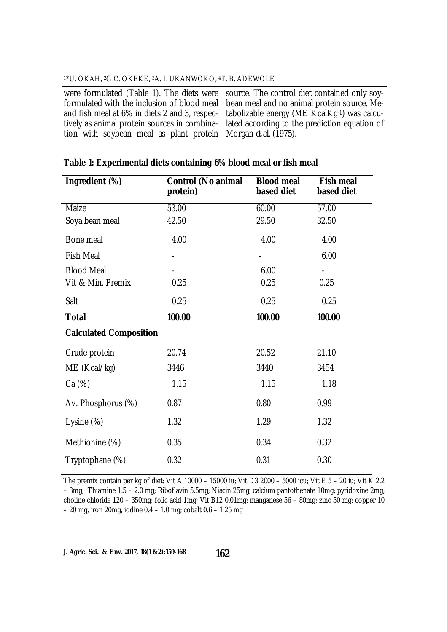#### <sup>1</sup>\*U. OKAH, 2G.C. OKEKE, 3A. I. UKANWOKO, 4T. B. ADEWOLE

formulated with the inclusion of blood meal and fish meal at 6% in diets 2 and 3, respectively as animal protein sources in combination with soybean meal as plant protein

were formulated (Table 1). The diets were source. The control diet contained only soybean meal and no animal protein source. Metabolizable energy (ME KcalKg-1) was calculated according to the prediction equation of Morgan *et al*. (1975).

| Ingredient (%)                | <b>Control (No animal</b><br>protein) | <b>Blood meal</b><br>based diet | <b>Fish meal</b><br>based diet |
|-------------------------------|---------------------------------------|---------------------------------|--------------------------------|
| Maize                         | 53.00                                 | 60.00                           | 57.00                          |
| Soya bean meal                | 42.50                                 | 29.50                           | 32.50                          |
| Bone meal                     | 4.00                                  | 4.00                            | 4.00                           |
| <b>Fish Meal</b>              |                                       | $\overline{\phantom{0}}$        | 6.00                           |
| <b>Blood Meal</b>             |                                       | 6.00                            |                                |
| Vit & Min. Premix             | 0.25                                  | 0.25                            | 0.25                           |
| Salt                          | 0.25                                  | 0.25                            | 0.25                           |
| <b>Total</b>                  | 100.00                                | 100.00                          | 100.00                         |
| <b>Calculated Composition</b> |                                       |                                 |                                |
| Crude protein                 | 20.74                                 | 20.52                           | 21.10                          |
| ME (Kcal/kg)                  | 3446                                  | 3440                            | 3454                           |
| Ca (%)                        | 1.15                                  | 1.15                            | 1.18                           |
| Av. Phosphorus (%)            | 0.87                                  | 0.80                            | 0.99                           |
| Lysine $(\%)$                 | 1.32                                  | 1.29                            | 1.32                           |
| Methionine (%)                | 0.35                                  | 0.34                            | 0.32                           |
| Tryptophane (%)               | 0.32                                  | 0.31                            | 0.30                           |

### **Table 1: Experimental diets containing 6% blood meal or fish meal**

The premix contain per kg of diet: Vit A 10000 – 15000 iu; Vit D3 2000 – 5000 icu; Vit E 5 – 20 iu; Vit K 2.2 – 3mg; Thiamine 1.5 – 2.0 mg; Riboflavin 5.5mg; Niacin 25mg; calcium pantothenate 10mg; pyridoxine 2mg; choline chloride 120 – 350mg; folic acid 1mg; Vit B12 0.01mg; manganese 56 – 80mg; zinc 50 mg; copper 10 – 20 mg, iron 20mg, iodine 0.4 – 1.0 mg; cobalt 0.6 – 1.25 mg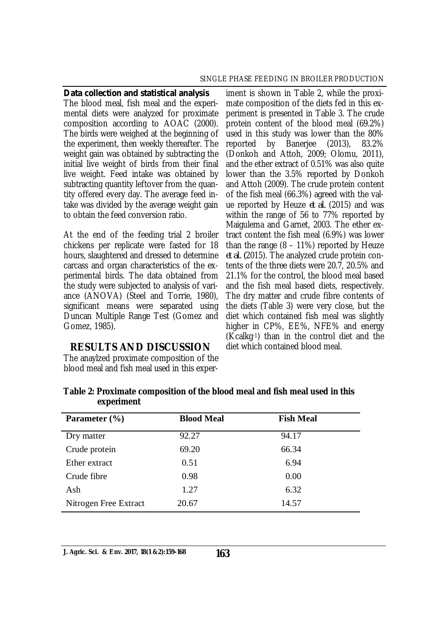#### SINGLE PHASE FEEDING IN BROILER PRODUCTION

*Data collection and statistical analysis* The blood meal, fish meal and the experimental diets were analyzed for proximate composition according to AOAC (2000). The birds were weighed at the beginning of the experiment, then weekly thereafter. The weight gain was obtained by subtracting the initial live weight of birds from their final live weight. Feed intake was obtained by subtracting quantity leftover from the quantity offered every day. The average feed intake was divided by the average weight gain to obtain the feed conversion ratio.

At the end of the feeding trial 2 broiler chickens per replicate were fasted for 18 hours, slaughtered and dressed to determine carcass and organ characteristics of the experimental birds. The data obtained from the study were subjected to analysis of variance (ANOVA) (Steel and Torrie, 1980), significant means were separated using Duncan Multiple Range Test (Gomez and Gomez, 1985).

## **RESULTS AND DISCUSSION**

The anaylzed proximate composition of the blood meal and fish meal used in this exper-

iment is shown in Table 2, while the proximate composition of the diets fed in this experiment is presented in Table 3. The crude protein content of the blood meal (69.2%) used in this study was lower than the 80%<br>reported by Banerjee (2013), 83.2% reported by Banerjee (2013), 83.2% (Donkoh and Attoh, 2009; Olomu, 2011), and the ether extract of 0.51% was also quite lower than the 3.5% reported by Donkoh and Attoh (2009). The crude protein content of the fish meal (66.3%) agreed with the value reported by Heuze *et al.* (2015) and was within the range of 56 to 77% reported by Maigulema and Garnet, 2003. The ether extract content the fish meal (6.9%) was lower than the range  $(8 - 11\%)$  reported by Heuze *et al. (*2015). The analyzed crude protein contents of the three diets were 20.7, 20.5% and 21.1% for the control, the blood meal based and the fish meal based diets, respectively. The dry matter and crude fibre contents of the diets (Table 3) were very close, but the diet which contained fish meal was slightly higher in CP%, EE%, NFE% and energy (Kcalkg-1) than in the control diet and the diet which contained blood meal.

|            | Table 2: Proximate composition of the blood meal and fish meal used in this |
|------------|-----------------------------------------------------------------------------|
| experiment |                                                                             |

| Parameter $(\% )$     | <b>Blood Meal</b> | <b>Fish Meal</b> |  |
|-----------------------|-------------------|------------------|--|
| Dry matter            | 92.27             | 94.17            |  |
| Crude protein         | 69.20             | 66.34            |  |
| Ether extract         | 0.51              | 6.94             |  |
| Crude fibre           | 0.98              | 0.00             |  |
| Ash                   | 1.27              | 6.32             |  |
| Nitrogen Free Extract | 20.67             | 14.57            |  |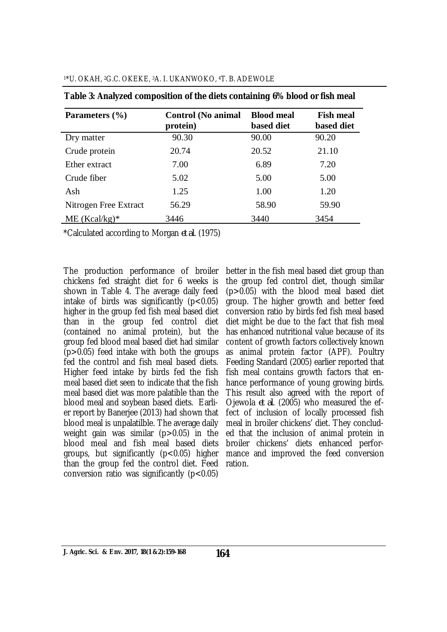| Parameters (%)        | <b>Control</b> (No animal<br>protein) | <b>Blood meal</b><br>based diet | <b>Fish meal</b><br>based diet |
|-----------------------|---------------------------------------|---------------------------------|--------------------------------|
| Dry matter            | 90.30                                 | 90.00                           | 90.20                          |
| Crude protein         | 20.74                                 | 20.52                           | 21.10                          |
| Ether extract         | 7.00                                  | 6.89                            | 7.20                           |
| Crude fiber           | 5.02                                  | 5.00                            | 5.00                           |
| Ash                   | 1.25                                  | 1.00                            | 1.20                           |
| Nitrogen Free Extract | 56.29                                 | 58.90                           | 59.90                          |
| $ME (Kcal/kg)*$       | 3446                                  | 3440                            | 3454                           |

**Table 3: Analyzed composition of the diets containing 6% blood or fish meal** 

\*Calculated according to Morgan *et al*. (1975)

The production performance of broiler chickens fed straight diet for 6 weeks is shown in Table 4. The average daily feed intake of birds was significantly  $(p<0.05)$ higher in the group fed fish meal based diet than in the group fed control diet (contained no animal protein), but the group fed blood meal based diet had similar (p>0.05) feed intake with both the groups fed the control and fish meal based diets. Higher feed intake by birds fed the fish meal based diet seen to indicate that the fish meal based diet was more palatible than the blood meal and soybean based diets. Earlier report by Banerjee (2013) had shown that blood meal is unpalatilble. The average daily weight gain was similar  $(p>0.05)$  in the blood meal and fish meal based diets groups, but significantly (p<0.05) higher than the group fed the control diet. Feed conversion ratio was significantly  $(p<0.05)$ 

better in the fish meal based diet group than the group fed control diet, though similar (p>0.05) with the blood meal based diet group. The higher growth and better feed conversion ratio by birds fed fish meal based diet might be due to the fact that fish meal has enhanced nutritional value because of its content of growth factors collectively known as animal protein factor (APF). Poultry Feeding Standard (2005) earlier reported that fish meal contains growth factors that enhance performance of young growing birds. This result also agreed with the report of Ojewola *et al*. (2005) who measured the effect of inclusion of locally processed fish meal in broiler chickens' diet. They concluded that the inclusion of animal protein in broiler chickens' diets enhanced performance and improved the feed conversion ration.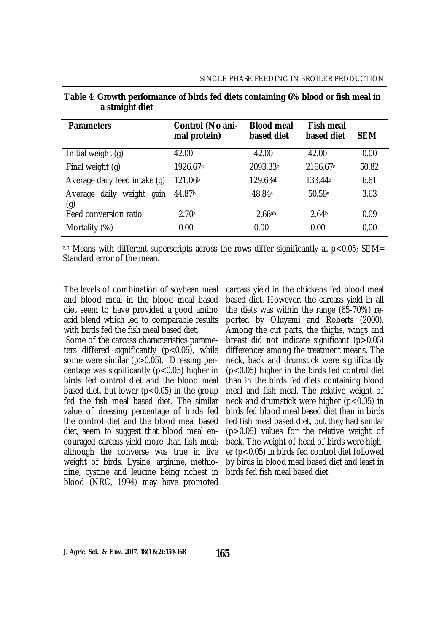| <b>Parameters</b>                      | Control (No ani-<br>mal protein) | <b>Blood meal</b><br>based diet | <b>Fish meal</b><br>based diet | <b>SEM</b> |
|----------------------------------------|----------------------------------|---------------------------------|--------------------------------|------------|
| Initial weight (g)                     | 42.00                            | 42.00                           | 42.00                          | 0.00       |
| Final weight (q)                       | 1926.67c                         | 2093.33b                        | 2166.67 <sup>a</sup>           | 50.82      |
| Average daily feed intake (g)          | 121.06b                          | 129.63ab                        | 133.44 <sup>a</sup>            | 6.81       |
| daily weight<br>gain<br>Average<br>(g) | 44.87b                           | 48.84a                          | 50.59a                         | 3.63       |
| Feed conversion ratio                  | 2.70a                            | 2.66ab                          | 2.64 <sub>b</sub>              | 0.09       |
| Mortality (%)                          | 0.00                             | 0.00                            | 0.00                           | 0,00       |

#### **Table 4: Growth performance of birds fed diets containing 6% blood or fish meal in a straight diet**

a,b Means with different superscripts across the rows differ significantly at  $p < 0.05$ ; SEM= Standard error of the mean.

The levels of combination of soybean meal and blood meal in the blood meal based diet seem to have provided a good amino acid blend which led to comparable results with birds fed the fish meal based diet.

Some of the carcass characteristics parameters differed significantly  $(p<0.05)$ , while some were similar (p>0.05). Dressing percentage was significantly (p<0.05) higher in birds fed control diet and the blood meal based diet, but lower ( $p < 0.05$ ) in the group fed the fish meal based diet. The similar value of dressing percentage of birds fed the control diet and the blood meal based diet, seem to suggest that blood meal encouraged carcass yield more than fish meal; although the converse was true in live weight of birds. Lysine, arginine, methionine, cystine and leucine being richest in blood (NRC, 1994) may have promoted

carcass yield in the chickens fed blood meal based diet. However, the carcass yield in all the diets was within the range (65-70%) reported by Oluyemi and Roberts (2000). Among the cut parts, the thighs, wings and breast did not indicate significant (p>0.05) differences among the treatment means. The neck, back and drumstick were significantly (p<0.05) higher in the birds fed control diet than in the birds fed diets containing blood meal and fish meal. The relative weight of neck and drumstick were higher (p<0.05) in birds fed blood meal based diet than in birds fed fish meal based diet, but they had similar (p>0.05) values for the relative weight of back. The weight of head of birds were higher (p<0.05) in birds fed control diet followed by birds in blood meal based diet and least in birds fed fish meal based diet.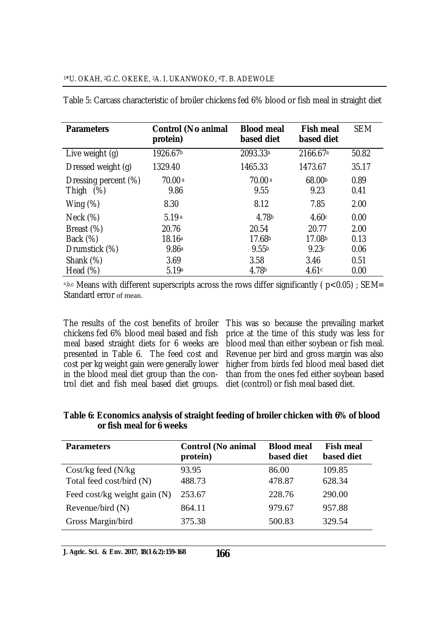| <b>Parameters</b>                       | <b>Control (No animal</b><br>protein) | <b>Blood meal</b><br>based diet | <b>Fish meal</b><br>based diet | <b>SEM</b>   |
|-----------------------------------------|---------------------------------------|---------------------------------|--------------------------------|--------------|
| Live weight (g)                         | 1926.67b                              | 2093.33 <sup>a</sup>            | 2166.67 <sup>a</sup>           | 50.82        |
| Dressed weight (q)                      | 1329.40                               | 1465.33                         | 1473.67                        | 35.17        |
| Dressing percent (%)<br>$(\%)$<br>Thigh | 70.00a<br>9.86                        | 70.00a<br>9.55                  | 68.00b<br>9.23                 | 0.89<br>0.41 |
| Wing $(\%)$                             | 8.30                                  | 8.12                            | 7.85                           | 2.00         |
| Neck $(\%)$                             | 5.19a                                 | 4.78b                           | 4.60c                          | 0.00         |
| Breast (%)                              | 20.76                                 | 20.54                           | 20.77                          | 2.00         |
| Back (%)                                | 18.16a                                | 17.68b                          | 17.08b                         | 0.13         |
| Drumstick (%)                           | 9.86a                                 | 9.55 <sub>b</sub>               | 9.23c                          | 0.06         |
| Shank (%)                               | 3.69                                  | 3.58                            | 3.46                           | 0.51         |
| Head $(\%)$                             | 5.19a                                 | 4.78b                           | 4.61c                          | 0.00         |

Table 5: Carcass characteristic of broiler chickens fed 6% blood or fish meal in straight diet

<sup>a,b,c</sup> Means with different superscripts across the rows differ significantly ( $p < 0.05$ ); SEM= Standard error of mean.

The results of the cost benefits of broiler chickens fed 6% blood meal based and fish meal based straight diets for 6 weeks are presented in Table 6. The feed cost and cost per kg weight gain were generally lower in the blood meal diet group than the control diet and fish meal based diet groups.

This was so because the prevailing market price at the time of this study was less for blood meal than either soybean or fish meal. Revenue per bird and gross margin was also higher from birds fed blood meal based diet than from the ones fed either soybean based diet (control) or fish meal based diet.

**Table 6: Economics analysis of straight feeding of broiler chicken with 6% of blood or fish meal for 6 weeks**

| <b>Parameters</b>              | <b>Control</b> (No animal<br>protein) | <b>Blood meal</b><br>based diet | <b>Fish meal</b><br>based diet |
|--------------------------------|---------------------------------------|---------------------------------|--------------------------------|
| $Cost/kg$ feed $(N/kg)$        | 93.95                                 | 86.00                           | 109.85                         |
| Total feed cost/bird (N)       | 488.73                                | 478.87                          | 628.34                         |
| Feed cost/kg weight gain $(N)$ | 253.67                                | 228.76                          | 290.00                         |
| Revenue/bird $(N)$             | 864.11                                | 979.67                          | 957.88                         |
| Gross Margin/bird              | 375.38                                | 500.83                          | 329.54                         |

**J. Agric. Sci. & Env. 2017, 18(1 &2):159-168**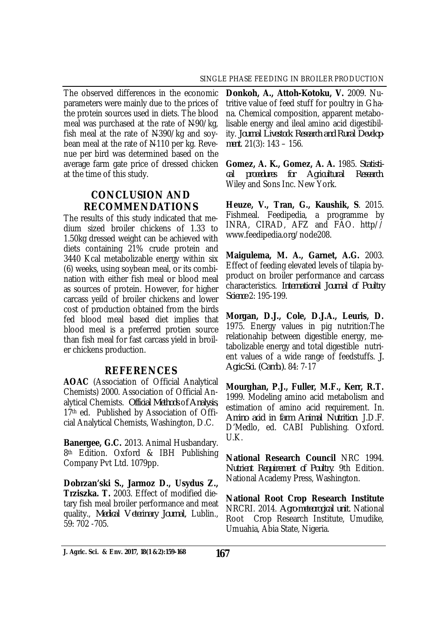The observed differences in the economic parameters were mainly due to the prices of the protein sources used in diets. The blood meal was purchased at the rate of N90/kg, fish meal at the rate of N390/kg and soybean meal at the rate of N110 per kg. Revenue per bird was determined based on the average farm gate price of dressed chicken at the time of this study.

# **CONCLUSION AND RECOMMENDATIONS**

The results of this study indicated that medium sized broiler chickens of 1.33 to 1.50kg dressed weight can be achieved with diets containing 21% crude protein and 3440 Kcal metabolizable energy within six (6) weeks, using soybean meal, or its combination with either fish meal or blood meal as sources of protein. However, for higher carcass yeild of broiler chickens and lower cost of production obtained from the birds fed blood meal based diet implies that blood meal is a preferred protien source than fish meal for fast carcass yield in broiler chickens production.

## **REFERENCES**

**AOAC** (Association of Official Analytical Chemists) 2000. Association of Official Analytical Chemists. *Official Methods* o*f Analysis*, 17th ed. Published by Association of Official Analytical Chemists, Washington, D.C.

**Banergee, G.C.** 2013. Animal Husbandary. 8<sup>th</sup> Edition. Oxford & IBH Publishing Company Pvt Ltd. 1079pp.

**Dobrzan'ski S., Jarmoz D., Usydus Z., Trziszka. T.** 2003. Effect of modified dietary fish meal broiler performance and meat quality., *Medical Veterinary Journal,* Lublin., 59: 702 -705.

**Donkoh, A., Attoh-Kotoku, V.** 2009. Nutritive value of feed stuff for poultry in Ghana. Chemical composition, apparent metabolisable energy and ileal amino acid digestibility. *Journal Livestock Research and Rural Development*. 21(3): 143 – 156.

**Gomez, A. K., Gomez, A. A.** 1985. *Statistical procedures for Agricultural Research*. Wiley and Sons Inc. New York.

**Heuze, V., Tran, G., Kaushik, S**. 2015. Fishmeal. Feedipedia, a programme by INRA, CIRAD, AFZ and FAO. http// [www.feedipedia.org/node208.](http://www.feedipedia.org/node208.)

**Maigulema, M. A., Garnet, A.G.** 2003. Effect of feeding elevated levels of tilapia byproduct on broiler performance and carcass characteristics. *International Journal of Poultry Science* 2: 195-199.

**Morgan, D.J., Cole, D.J.A., Leuris, D.**  1975. Energy values in pig nutrition:The relationahip between digestible energy, metabolizable energy and total digestible nutrient values of a wide range of feedstuffs. *J. Agric.Sci. (Camb.).* 84: 7-17

**Mourghan, P.J., Fuller, M.F., Kerr, R.T.**  1999. Modeling amino acid metabolism and estimation of amino acid requirement. In. *Amino acid in farm Animal Nutrition*. J.D.F. D'Medlo, ed. CABI Publishing. Oxford. U.K.

**National Research Council** NRC 1994. *Nutrient Requirement of Poultry*. 9th Edition. National Academy Press, Washington.

**National Root Crop Research Institute**  NRCRI. 2014. *Agro-meteorogical unit.* National Root Crop Research Institute, Umudike, Umuahia, Abia State, Nigeria.